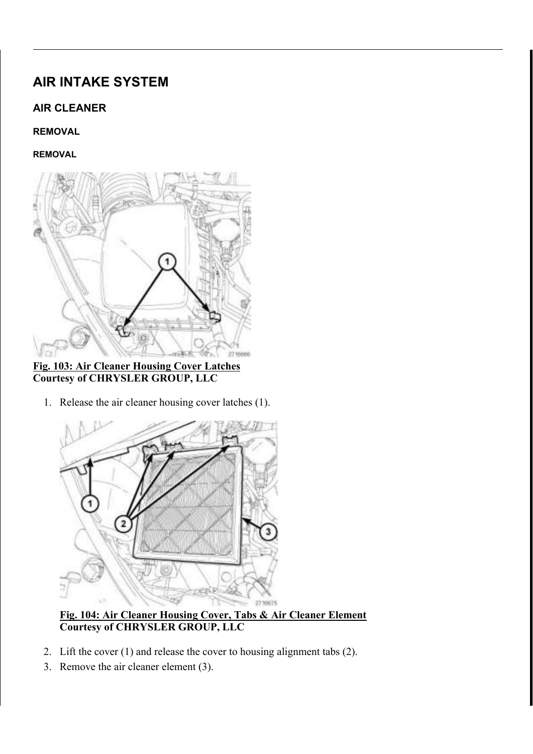# AIR INTAKE SYSTEM

# AIR CLEANER

# REMOVAL

# REMOVAL



Fig. 103: Air Cleaner Housing Cover Latches Courtesy of CHRYSLER GROUP, LLC

1. Release the air cleaner housing cover latches (1).



Fig. 104: Air Cleaner Housing Cover, Tabs & Air Cleaner Element Courtesy of CHRYSLER GROUP, LLC

- 2. Lift the cover (1) and release the cover to housing alignment tabs (2).
- 3. Remove the air cleaner element (3).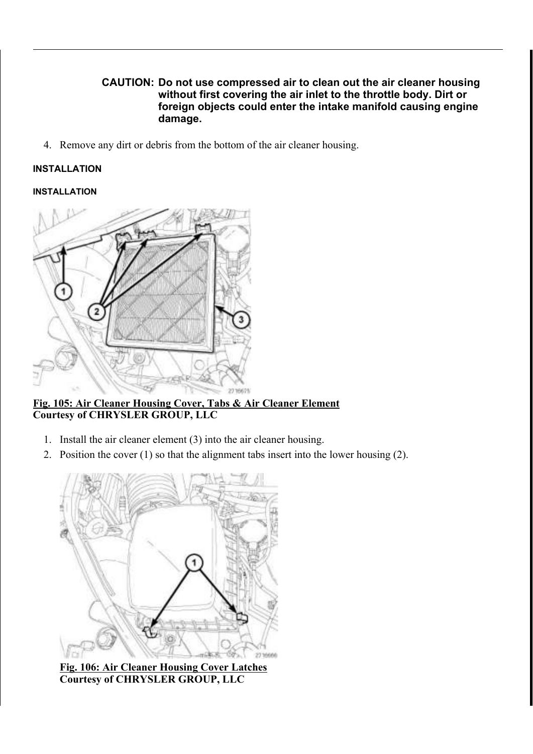## CAUTION: Do not use compressed air to clean out the air cleaner housing without first covering the air inlet to the throttle body. Dirt or foreign objects could enter the intake manifold causing engine damage.

4. Remove any dirt or debris from the bottom of the air cleaner housing.

## INSTALLATION

#### INSTALLATION



Fig. 105: Air Cleaner Housing Cover, Tabs & Air Cleaner Element Courtesy of CHRYSLER GROUP, LLC

- 1. Install the air cleaner element (3) into the air cleaner housing.
- 2. Position the cover (1) so that the alignment tabs insert into the lower housing (2).



Fig. 106: Air Cleaner Housing Cover Latches Courtesy of CHRYSLER GROUP, LLC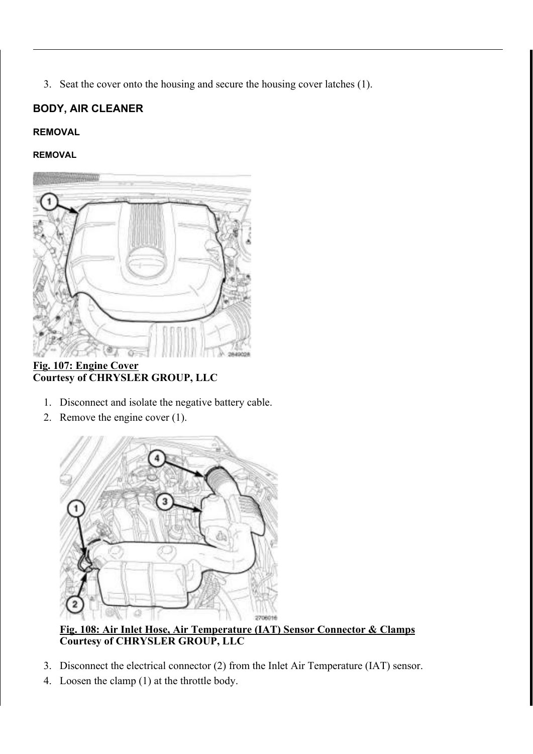3. Seat the cover onto the housing and secure the housing cover latches (1).

# BODY, AIR CLEANER

# REMOVAL

## REMOVAL



Fig. 107: Engine Cover Courtesy of CHRYSLER GROUP, LLC

- 1. Disconnect and isolate the negative battery cable.
- 2. Remove the engine cover (1).



Fig. 108: Air Inlet Hose, Air Temperature (IAT) Sensor Connector & Clamps Courtesy of CHRYSLER GROUP, LLC

- 3. Disconnect the electrical connector (2) from the Inlet Air Temperature (IAT) sensor.
- 4. Loosen the clamp (1) at the throttle body.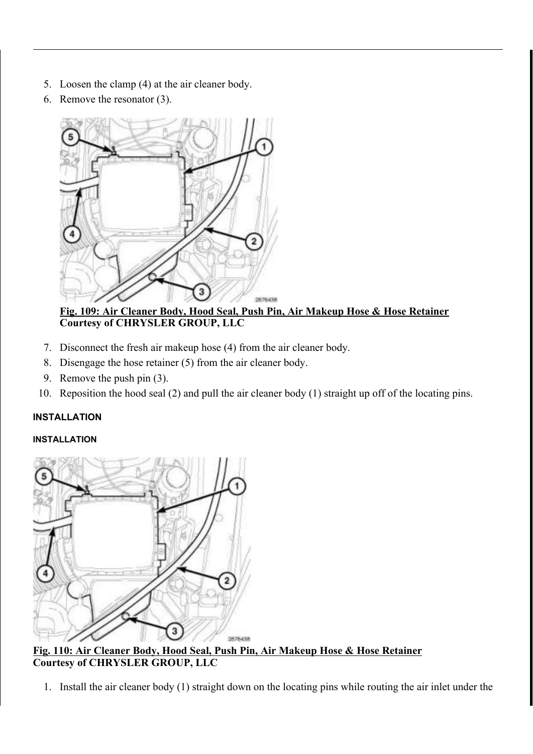- 5. Loosen the clamp (4) at the air cleaner body.
- 6. Remove the resonator (3).



Fig. 109: Air Cleaner Body, Hood Seal, Push Pin, Air Makeup Hose & Hose Retainer Courtesy of CHRYSLER GROUP, LLC

- 7. Disconnect the fresh air makeup hose (4) from the air cleaner body.
- 8. Disengage the hose retainer (5) from the air cleaner body.
- 9. Remove the push pin (3).
- 10. Reposition the hood seal (2) and pull the air cleaner body (1) straight up off of the locating pins.

# INSTALLATION

# INSTALLATION



Fig. 110: Air Cleaner Body, Hood Seal, Push Pin, Air Makeup Hose & Hose Retainer Courtesy of CHRYSLER GROUP, LLC

1. Install the air cleaner body (1) straight down on the locating pins while routing the air inlet under the